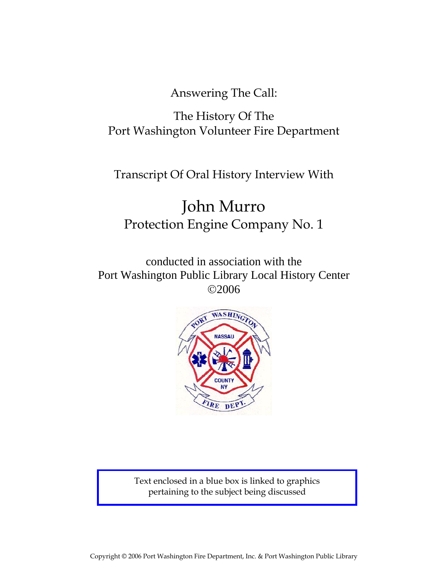Answering The Call:

## The History Of The Port Washington Volunteer Fire Department

## Transcript Of Oral History Interview With

# John Murro Protection Engine Company No. 1

conducted in association with the Port Washington Public Library Local History Center ©2006



Text enclosed in a blue box is linked to graphics pertaining to the subject being discussed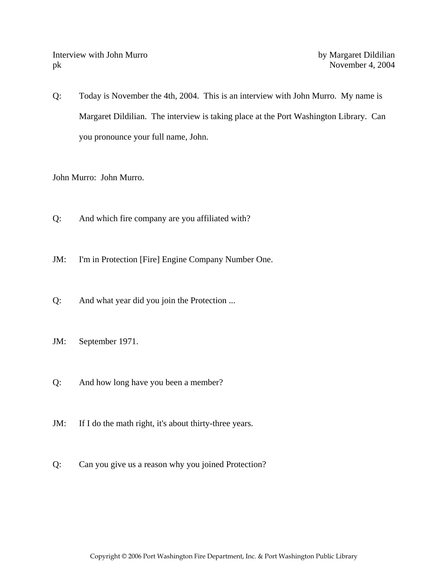Interview with John Murro by Margaret Dildilian pk November 4, 2004

Q: Today is November the 4th, 2004. This is an interview with John Murro. My name is Margaret Dildilian. The interview is taking place at the Port Washington Library. Can you pronounce your full name, John.

John Murro: John Murro.

- Q: And which fire company are you affiliated with?
- JM: I'm in Protection [Fire] Engine Company Number One.
- Q: And what year did you join the Protection ...
- JM: September 1971.
- Q: And how long have you been a member?
- JM: If I do the math right, it's about thirty-three years.
- Q: Can you give us a reason why you joined Protection?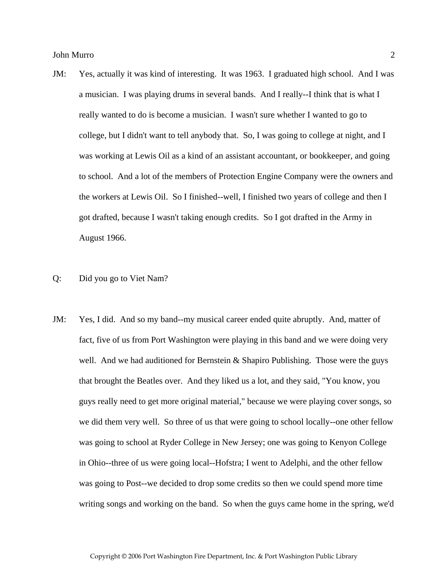- JM: Yes, actually it was kind of interesting. It was 1963. I graduated high school. And I was a musician. I was playing drums in several bands. And I really--I think that is what I really wanted to do is become a musician. I wasn't sure whether I wanted to go to college, but I didn't want to tell anybody that. So, I was going to college at night, and I was working at Lewis Oil as a kind of an assistant accountant, or bookkeeper, and going to school. And a lot of the members of Protection Engine Company were the owners and the workers at Lewis Oil. So I finished--well, I finished two years of college and then I got drafted, because I wasn't taking enough credits. So I got drafted in the Army in August 1966.
- Q: Did you go to Viet Nam?
- JM: Yes, I did. And so my band--my musical career ended quite abruptly. And, matter of fact, five of us from Port Washington were playing in this band and we were doing very well. And we had auditioned for Bernstein  $&$  Shapiro Publishing. Those were the guys that brought the Beatles over. And they liked us a lot, and they said, "You know, you guys really need to get more original material," because we were playing cover songs, so we did them very well. So three of us that were going to school locally--one other fellow was going to school at Ryder College in New Jersey; one was going to Kenyon College in Ohio--three of us were going local--Hofstra; I went to Adelphi, and the other fellow was going to Post--we decided to drop some credits so then we could spend more time writing songs and working on the band. So when the guys came home in the spring, we'd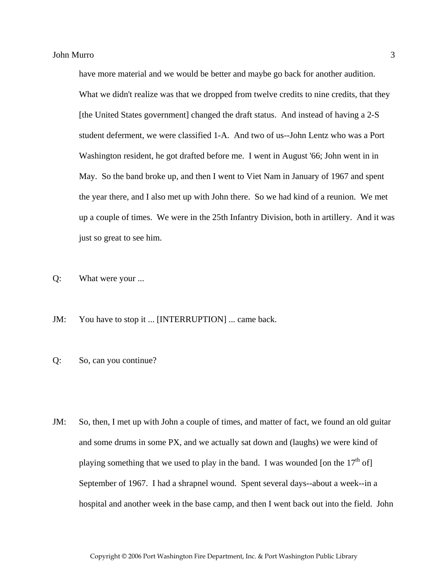have more material and we would be better and maybe go back for another audition. What we didn't realize was that we dropped from twelve credits to nine credits, that they [the United States government] changed the draft status. And instead of having a 2-S student deferment, we were classified 1-A. And two of us--John Lentz who was a Port Washington resident, he got drafted before me. I went in August '66; John went in in May. So the band broke up, and then I went to Viet Nam in January of 1967 and spent the year there, and I also met up with John there. So we had kind of a reunion. We met up a couple of times. We were in the 25th Infantry Division, both in artillery. And it was just so great to see him.

Q: What were your ...

JM: You have to stop it ... [INTERRUPTION] ... came back.

Q: So, can you continue?

JM: So, then, I met up with John a couple of times, and matter of fact, we found an old guitar and some drums in some PX, and we actually sat down and (laughs) we were kind of playing something that we used to play in the band. I was wounded [on the  $17<sup>th</sup>$  of] September of 1967. I had a shrapnel wound. Spent several days--about a week--in a hospital and another week in the base camp, and then I went back out into the field. John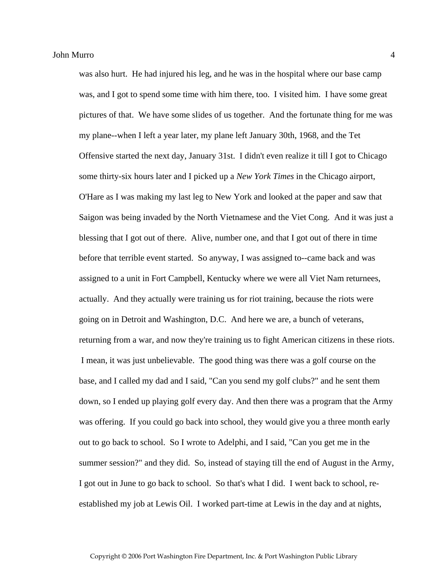was also hurt. He had injured his leg, and he was in the hospital where our base camp was, and I got to spend some time with him there, too. I visited him. I have some great pictures of that. We have some slides of us together. And the fortunate thing for me was my plane--when I left a year later, my plane left January 30th, 1968, and the Tet Offensive started the next day, January 31st. I didn't even realize it till I got to Chicago some thirty-six hours later and I picked up a *New York Times* in the Chicago airport, O'Hare as I was making my last leg to New York and looked at the paper and saw that Saigon was being invaded by the North Vietnamese and the Viet Cong. And it was just a blessing that I got out of there. Alive, number one, and that I got out of there in time before that terrible event started. So anyway, I was assigned to--came back and was assigned to a unit in Fort Campbell, Kentucky where we were all Viet Nam returnees, actually. And they actually were training us for riot training, because the riots were going on in Detroit and Washington, D.C. And here we are, a bunch of veterans, returning from a war, and now they're training us to fight American citizens in these riots. I mean, it was just unbelievable. The good thing was there was a golf course on the base, and I called my dad and I said, "Can you send my golf clubs?" and he sent them down, so I ended up playing golf every day. And then there was a program that the Army was offering. If you could go back into school, they would give you a three month early out to go back to school. So I wrote to Adelphi, and I said, "Can you get me in the summer session?" and they did. So, instead of staying till the end of August in the Army, I got out in June to go back to school. So that's what I did. I went back to school, reestablished my job at Lewis Oil. I worked part-time at Lewis in the day and at nights,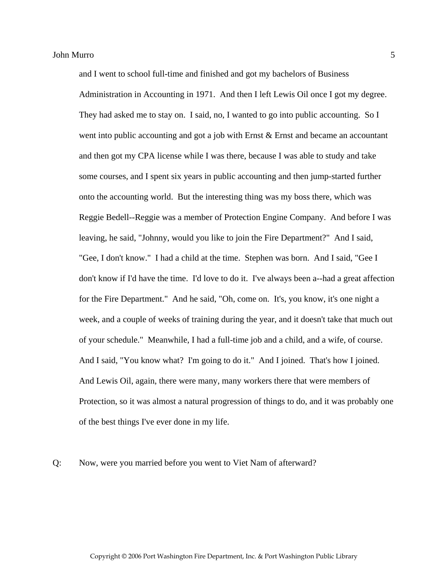and I went to school full-time and finished and got my bachelors of Business Administration in Accounting in 1971. And then I left Lewis Oil once I got my degree. They had asked me to stay on. I said, no, I wanted to go into public accounting. So I went into public accounting and got a job with Ernst & Ernst and became an accountant and then got my CPA license while I was there, because I was able to study and take some courses, and I spent six years in public accounting and then jump-started further onto the accounting world. But the interesting thing was my boss there, which was Reggie Bedell--Reggie was a member of Protection Engine Company. And before I was leaving, he said, "Johnny, would you like to join the Fire Department?" And I said, "Gee, I don't know." I had a child at the time. Stephen was born. And I said, "Gee I don't know if I'd have the time. I'd love to do it. I've always been a--had a great affection for the Fire Department." And he said, "Oh, come on. It's, you know, it's one night a week, and a couple of weeks of training during the year, and it doesn't take that much out of your schedule." Meanwhile, I had a full-time job and a child, and a wife, of course. And I said, "You know what? I'm going to do it." And I joined. That's how I joined. And Lewis Oil, again, there were many, many workers there that were members of Protection, so it was almost a natural progression of things to do, and it was probably one of the best things I've ever done in my life.

Q: Now, were you married before you went to Viet Nam of afterward?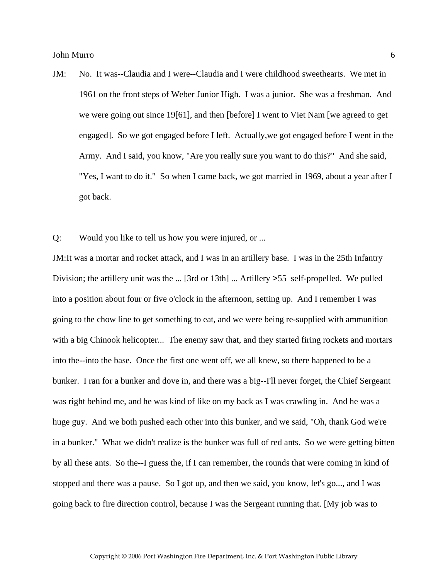- JM: No. It was--Claudia and I were--Claudia and I were childhood sweethearts. We met in 1961 on the front steps of Weber Junior High. I was a junior. She was a freshman. And we were going out since 19[61], and then [before] I went to Viet Nam [we agreed to get engaged]. So we got engaged before I left. Actually,we got engaged before I went in the Army. And I said, you know, "Are you really sure you want to do this?" And she said, "Yes, I want to do it." So when I came back, we got married in 1969, about a year after I got back.
- Q: Would you like to tell us how you were injured, or ...

JM:It was a mortar and rocket attack, and I was in an artillery base. I was in the 25th Infantry Division; the artillery unit was the ... [3rd or 13th] ... Artillery >55 self-propelled. We pulled into a position about four or five o'clock in the afternoon, setting up. And I remember I was going to the chow line to get something to eat, and we were being re-supplied with ammunition with a big Chinook helicopter... The enemy saw that, and they started firing rockets and mortars into the--into the base. Once the first one went off, we all knew, so there happened to be a bunker. I ran for a bunker and dove in, and there was a big--I'll never forget, the Chief Sergeant was right behind me, and he was kind of like on my back as I was crawling in. And he was a huge guy. And we both pushed each other into this bunker, and we said, "Oh, thank God we're in a bunker." What we didn't realize is the bunker was full of red ants. So we were getting bitten by all these ants. So the--I guess the, if I can remember, the rounds that were coming in kind of stopped and there was a pause. So I got up, and then we said, you know, let's go..., and I was going back to fire direction control, because I was the Sergeant running that. [My job was to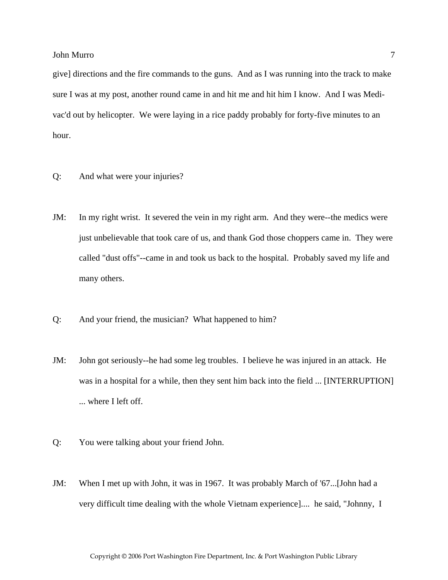give] directions and the fire commands to the guns. And as I was running into the track to make sure I was at my post, another round came in and hit me and hit him I know. And I was Medivac'd out by helicopter. We were laying in a rice paddy probably for forty-five minutes to an hour.

- Q: And what were your injuries?
- JM: In my right wrist. It severed the vein in my right arm. And they were--the medics were just unbelievable that took care of us, and thank God those choppers came in. They were called "dust offs"--came in and took us back to the hospital. Probably saved my life and many others.
- Q: And your friend, the musician? What happened to him?
- JM: John got seriously--he had some leg troubles. I believe he was injured in an attack. He was in a hospital for a while, then they sent him back into the field ... [INTERRUPTION] ... where I left off.
- Q: You were talking about your friend John.
- JM: When I met up with John, it was in 1967. It was probably March of '67...[John had a very difficult time dealing with the whole Vietnam experience].... he said, "Johnny, I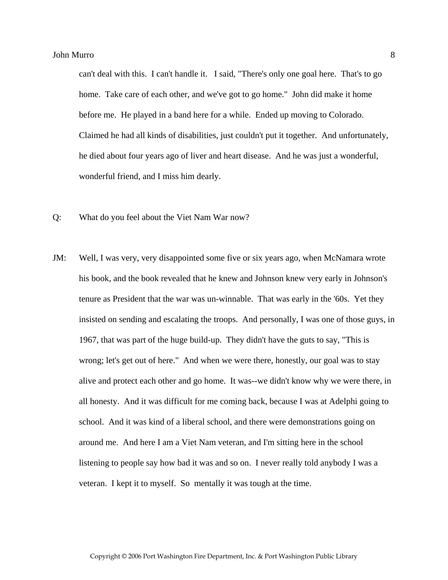can't deal with this. I can't handle it. I said, "There's only one goal here. That's to go home. Take care of each other, and we've got to go home." John did make it home before me. He played in a band here for a while. Ended up moving to Colorado. Claimed he had all kinds of disabilities, just couldn't put it together. And unfortunately, he died about four years ago of liver and heart disease. And he was just a wonderful, wonderful friend, and I miss him dearly.

- Q: What do you feel about the Viet Nam War now?
- JM: Well, I was very, very disappointed some five or six years ago, when McNamara wrote his book, and the book revealed that he knew and Johnson knew very early in Johnson's tenure as President that the war was un-winnable. That was early in the '60s. Yet they insisted on sending and escalating the troops. And personally, I was one of those guys, in 1967, that was part of the huge build-up. They didn't have the guts to say, "This is wrong; let's get out of here." And when we were there, honestly, our goal was to stay alive and protect each other and go home. It was--we didn't know why we were there, in all honesty. And it was difficult for me coming back, because I was at Adelphi going to school. And it was kind of a liberal school, and there were demonstrations going on around me. And here I am a Viet Nam veteran, and I'm sitting here in the school listening to people say how bad it was and so on. I never really told anybody I was a veteran. I kept it to myself. So mentally it was tough at the time.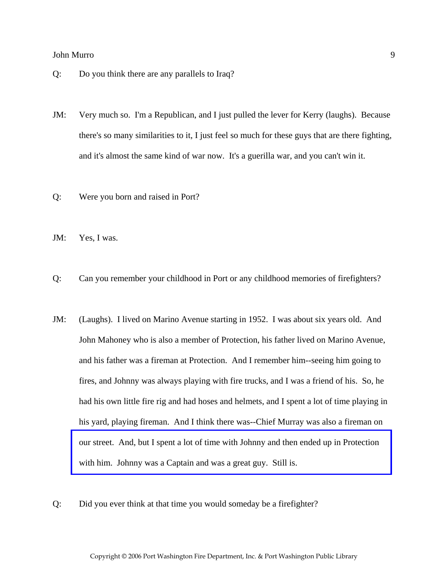- Q: Do you think there are any parallels to Iraq?
- JM: Very much so. I'm a Republican, and I just pulled the lever for Kerry (laughs). Because there's so many similarities to it, I just feel so much for these guys that are there fighting, and it's almost the same kind of war now. It's a guerilla war, and you can't win it.
- Q: Were you born and raised in Port?
- JM: Yes, I was.
- Q: Can you remember your childhood in Port or any childhood memories of firefighters?
- JM: (Laughs). I lived on Marino Avenue starting in 1952. I was about six years old. And John Mahoney who is also a member of Protection, his father lived on Marino Avenue, and his father was a fireman at Protection. And I remember him--seeing him going to fires, and Johnny was always playing with fire trucks, and I was a friend of his. So, he had his own little fire rig and had hoses and helmets, and I spent a lot of time playing in his yard, playing fireman. And I think there was--Chief Murray was also a fireman on [our street. And, but I spent a lot of time with Johnny and then ended up in Protection](http://www.pwfdhistory.com/trans/murroj_trans/peco_members036_web.jpg)  with him. Johnny was a Captain and was a great guy. Still is.
- Q: Did you ever think at that time you would someday be a firefighter?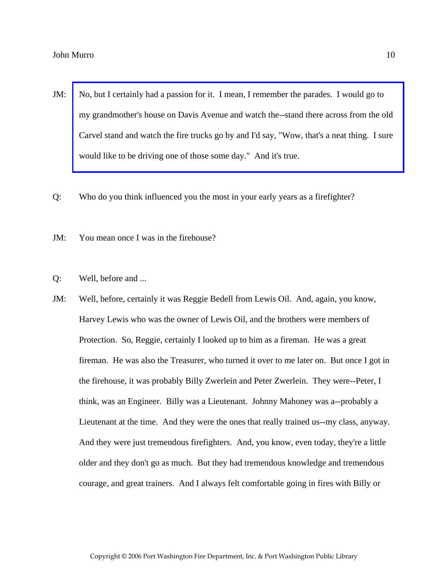- JM: No, but I certainly had a passion for it. I mean, I remember the parades. I would go to my grandmother's house on Davis Avenue and watch the--stand there across from the old [Carvel stand and watch the fire trucks go by and I'd say, "Wow, that's a neat thing. I sure](http://www.pwfdhistory.com/trans/murroj_trans/peco_parades020_web.jpg)  would like to be driving one of those some day." And it's true.
- Q: Who do you think influenced you the most in your early years as a firefighter?
- JM: You mean once I was in the firehouse?
- Q: Well, before and ...
- JM: Well, before, certainly it was Reggie Bedell from Lewis Oil. And, again, you know, Harvey Lewis who was the owner of Lewis Oil, and the brothers were members of Protection. So, Reggie, certainly I looked up to him as a fireman. He was a great fireman. He was also the Treasurer, who turned it over to me later on. But once I got in the firehouse, it was probably Billy Zwerlein and Peter Zwerlein. They were--Peter, I think, was an Engineer. Billy was a Lieutenant. Johnny Mahoney was a--probably a Lieutenant at the time. And they were the ones that really trained us--my class, anyway. And they were just tremendous firefighters. And, you know, even today, they're a little older and they don't go as much. But they had tremendous knowledge and tremendous courage, and great trainers. And I always felt comfortable going in fires with Billy or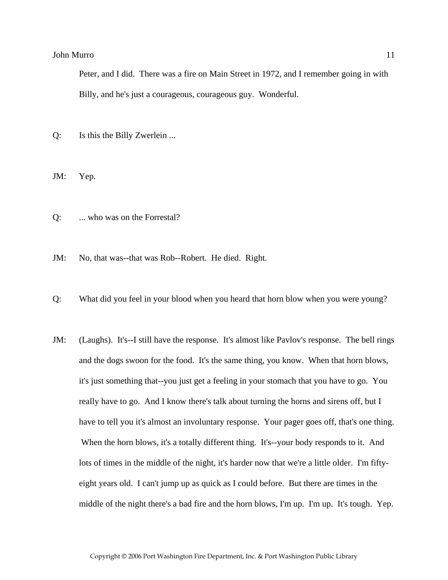Peter, and I did. There was a fire on Main Street in 1972, and I remember going in with Billy, and he's just a courageous, courageous guy. Wonderful.

Q: Is this the Billy Zwerlein ...

JM: Yep.

Q: ... who was on the Forrestal?

JM: No, that was--that was Rob--Robert. He died. Right.

- Q: What did you feel in your blood when you heard that horn blow when you were young?
- JM: (Laughs). It's--I still have the response. It's almost like Pavlov's response. The bell rings and the dogs swoon for the food. It's the same thing, you know. When that horn blows, it's just something that--you just get a feeling in your stomach that you have to go. You really have to go. And I know there's talk about turning the horns and sirens off, but I have to tell you it's almost an involuntary response. Your pager goes off, that's one thing. When the horn blows, it's a totally different thing. It's--your body responds to it. And lots of times in the middle of the night, it's harder now that we're a little older. I'm fiftyeight years old. I can't jump up as quick as I could before. But there are times in the middle of the night there's a bad fire and the horn blows, I'm up. I'm up. It's tough. Yep.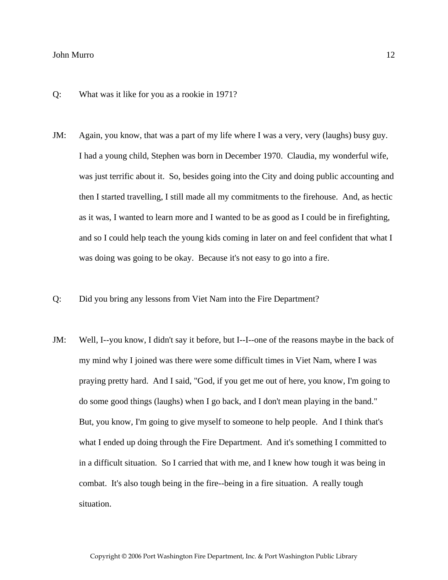- Q: What was it like for you as a rookie in 1971?
- JM: Again, you know, that was a part of my life where I was a very, very (laughs) busy guy. I had a young child, Stephen was born in December 1970. Claudia, my wonderful wife, was just terrific about it. So, besides going into the City and doing public accounting and then I started travelling, I still made all my commitments to the firehouse. And, as hectic as it was, I wanted to learn more and I wanted to be as good as I could be in firefighting, and so I could help teach the young kids coming in later on and feel confident that what I was doing was going to be okay. Because it's not easy to go into a fire.
- Q: Did you bring any lessons from Viet Nam into the Fire Department?
- JM: Well, I--you know, I didn't say it before, but I--I--one of the reasons maybe in the back of my mind why I joined was there were some difficult times in Viet Nam, where I was praying pretty hard. And I said, "God, if you get me out of here, you know, I'm going to do some good things (laughs) when I go back, and I don't mean playing in the band." But, you know, I'm going to give myself to someone to help people. And I think that's what I ended up doing through the Fire Department. And it's something I committed to in a difficult situation. So I carried that with me, and I knew how tough it was being in combat. It's also tough being in the fire--being in a fire situation. A really tough situation.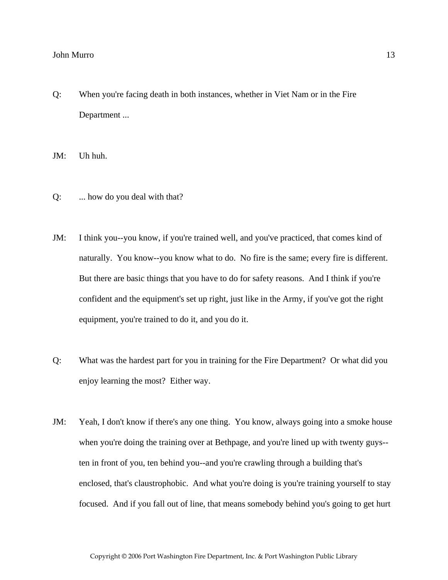Q: When you're facing death in both instances, whether in Viet Nam or in the Fire Department ...

JM: Uh huh.

- Q: ... how do you deal with that?
- JM: I think you--you know, if you're trained well, and you've practiced, that comes kind of naturally. You know--you know what to do. No fire is the same; every fire is different. But there are basic things that you have to do for safety reasons. And I think if you're confident and the equipment's set up right, just like in the Army, if you've got the right equipment, you're trained to do it, and you do it.
- Q: What was the hardest part for you in training for the Fire Department? Or what did you enjoy learning the most? Either way.
- JM: Yeah, I don't know if there's any one thing. You know, always going into a smoke house when you're doing the training over at Bethpage, and you're lined up with twenty guys-ten in front of you, ten behind you--and you're crawling through a building that's enclosed, that's claustrophobic. And what you're doing is you're training yourself to stay focused. And if you fall out of line, that means somebody behind you's going to get hurt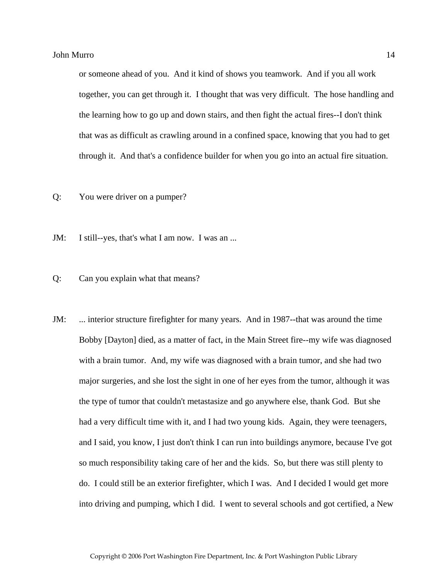or someone ahead of you. And it kind of shows you teamwork. And if you all work together, you can get through it. I thought that was very difficult. The hose handling and the learning how to go up and down stairs, and then fight the actual fires--I don't think that was as difficult as crawling around in a confined space, knowing that you had to get through it. And that's a confidence builder for when you go into an actual fire situation.

Q: You were driver on a pumper?

JM: I still--yes, that's what I am now. I was an ...

#### Q: Can you explain what that means?

JM: ... interior structure firefighter for many years. And in 1987--that was around the time Bobby [Dayton] died, as a matter of fact, in the Main Street fire--my wife was diagnosed with a brain tumor. And, my wife was diagnosed with a brain tumor, and she had two major surgeries, and she lost the sight in one of her eyes from the tumor, although it was the type of tumor that couldn't metastasize and go anywhere else, thank God. But she had a very difficult time with it, and I had two young kids. Again, they were teenagers, and I said, you know, I just don't think I can run into buildings anymore, because I've got so much responsibility taking care of her and the kids. So, but there was still plenty to do. I could still be an exterior firefighter, which I was. And I decided I would get more into driving and pumping, which I did. I went to several schools and got certified, a New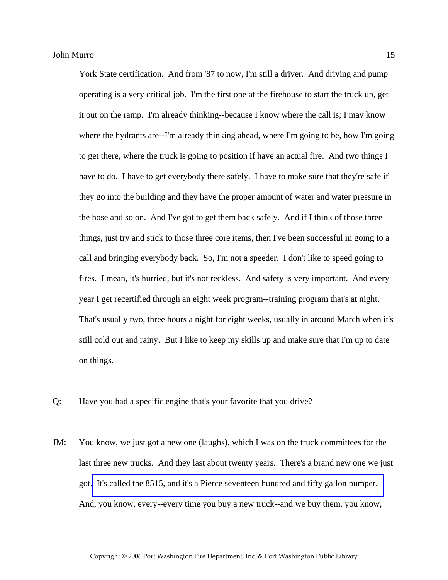York State certification. And from '87 to now, I'm still a driver. And driving and pump operating is a very critical job. I'm the first one at the firehouse to start the truck up, get it out on the ramp. I'm already thinking--because I know where the call is; I may know where the hydrants are--I'm already thinking ahead, where I'm going to be, how I'm going to get there, where the truck is going to position if have an actual fire. And two things I have to do. I have to get everybody there safely. I have to make sure that they're safe if they go into the building and they have the proper amount of water and water pressure in the hose and so on. And I've got to get them back safely. And if I think of those three things, just try and stick to those three core items, then I've been successful in going to a call and bringing everybody back. So, I'm not a speeder. I don't like to speed going to fires. I mean, it's hurried, but it's not reckless. And safety is very important. And every year I get recertified through an eight week program--training program that's at night. That's usually two, three hours a night for eight weeks, usually in around March when it's still cold out and rainy. But I like to keep my skills up and make sure that I'm up to date on things.

- Q: Have you had a specific engine that's your favorite that you drive?
- JM: You know, we just got a new one (laughs), which I was on the truck committees for the last three new trucks. And they last about twenty years. There's a brand new one we just got. [It's called the 8515, and it's a Pierce seventeen hundred and fifty gallon pumper.](http://www.pwfdhistory.com/trans/murroj_trans/peco_trucks047_web.jpg)  And, you know, every--every time you buy a new truck--and we buy them, you know,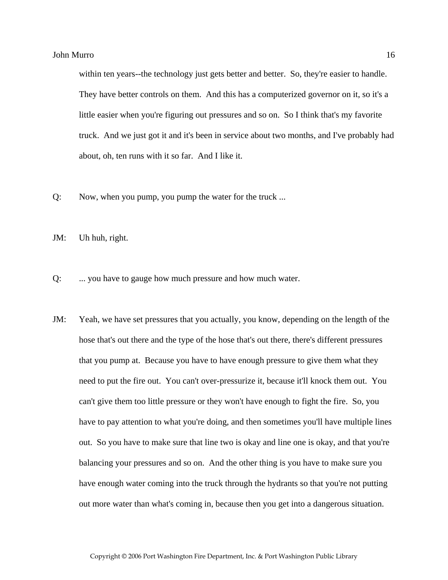within ten years--the technology just gets better and better. So, they're easier to handle. They have better controls on them. And this has a computerized governor on it, so it's a little easier when you're figuring out pressures and so on. So I think that's my favorite truck. And we just got it and it's been in service about two months, and I've probably had about, oh, ten runs with it so far. And I like it.

- Q: Now, when you pump, you pump the water for the truck ...
- JM: Uh huh, right.
- Q: ... you have to gauge how much pressure and how much water.
- JM: Yeah, we have set pressures that you actually, you know, depending on the length of the hose that's out there and the type of the hose that's out there, there's different pressures that you pump at. Because you have to have enough pressure to give them what they need to put the fire out. You can't over-pressurize it, because it'll knock them out. You can't give them too little pressure or they won't have enough to fight the fire. So, you have to pay attention to what you're doing, and then sometimes you'll have multiple lines out. So you have to make sure that line two is okay and line one is okay, and that you're balancing your pressures and so on. And the other thing is you have to make sure you have enough water coming into the truck through the hydrants so that you're not putting out more water than what's coming in, because then you get into a dangerous situation.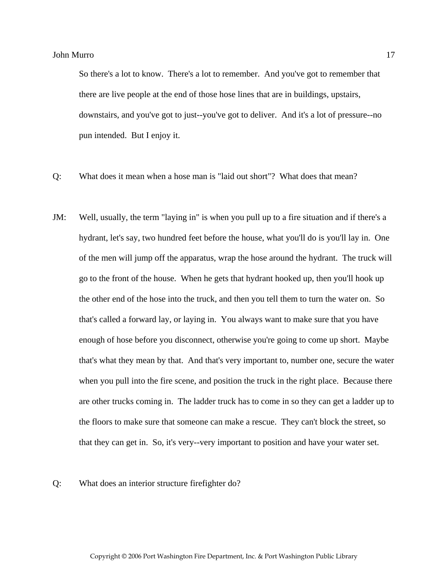So there's a lot to know. There's a lot to remember. And you've got to remember that there are live people at the end of those hose lines that are in buildings, upstairs, downstairs, and you've got to just--you've got to deliver. And it's a lot of pressure--no pun intended. But I enjoy it.

- Q: What does it mean when a hose man is "laid out short"? What does that mean?
- JM: Well, usually, the term "laying in" is when you pull up to a fire situation and if there's a hydrant, let's say, two hundred feet before the house, what you'll do is you'll lay in. One of the men will jump off the apparatus, wrap the hose around the hydrant. The truck will go to the front of the house. When he gets that hydrant hooked up, then you'll hook up the other end of the hose into the truck, and then you tell them to turn the water on. So that's called a forward lay, or laying in. You always want to make sure that you have enough of hose before you disconnect, otherwise you're going to come up short. Maybe that's what they mean by that. And that's very important to, number one, secure the water when you pull into the fire scene, and position the truck in the right place. Because there are other trucks coming in. The ladder truck has to come in so they can get a ladder up to the floors to make sure that someone can make a rescue. They can't block the street, so that they can get in. So, it's very--very important to position and have your water set.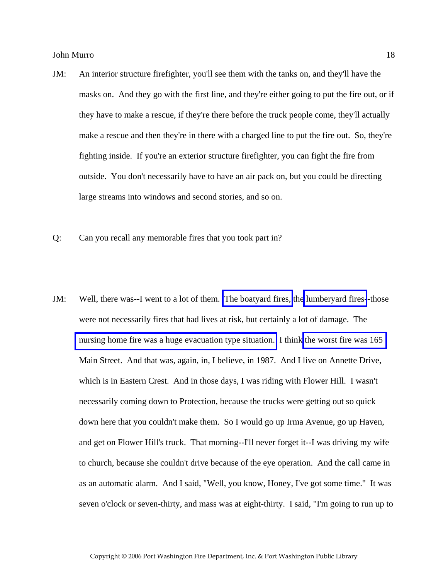- JM: An interior structure firefighter, you'll see them with the tanks on, and they'll have the masks on. And they go with the first line, and they're either going to put the fire out, or if they have to make a rescue, if they're there before the truck people come, they'll actually make a rescue and then they're in there with a charged line to put the fire out. So, they're fighting inside. If you're an exterior structure firefighter, you can fight the fire from outside. You don't necessarily have to have an air pack on, but you could be directing large streams into windows and second stories, and so on.
- Q: Can you recall any memorable fires that you took part in?
- JM: Well, there was--I went to a lot of them. [The boatyard fires,](http://www.pwfdhistory.com/trans/murroj_trans/news_cocks252_web.jpg) th[e lumberyard fires-](http://www.pwfdhistory.com/trans/murroj_trans/pwfd_news052.pdf)-those were not necessarily fires that had lives at risk, but certainly a lot of damage. The [nursing home fire was a huge evacuation type situation.](http://www.pwfdhistory.com/trans/murroj_trans/pwfd_news044.pdf) I think [the worst fire was 165](http://www.pwfdhistory.com/trans/murroj_trans/pnews881201_pz_web.pdf)  Main Street. And that was, again, in, I believe, in 1987. And I live on Annette Drive, which is in Eastern Crest. And in those days, I was riding with Flower Hill. I wasn't necessarily coming down to Protection, because the trucks were getting out so quick down here that you couldn't make them. So I would go up Irma Avenue, go up Haven, and get on Flower Hill's truck. That morning--I'll never forget it--I was driving my wife to church, because she couldn't drive because of the eye operation. And the call came in as an automatic alarm. And I said, "Well, you know, Honey, I've got some time." It was seven o'clock or seven-thirty, and mass was at eight-thirty. I said, "I'm going to run up to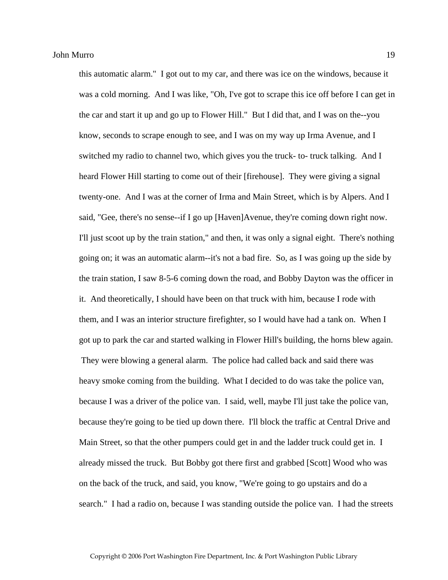this automatic alarm." I got out to my car, and there was ice on the windows, because it was a cold morning. And I was like, "Oh, I've got to scrape this ice off before I can get in the car and start it up and go up to Flower Hill." But I did that, and I was on the--you know, seconds to scrape enough to see, and I was on my way up Irma Avenue, and I switched my radio to channel two, which gives you the truck- to- truck talking. And I heard Flower Hill starting to come out of their [firehouse]. They were giving a signal twenty-one. And I was at the corner of Irma and Main Street, which is by Alpers. And I said, "Gee, there's no sense--if I go up [Haven]Avenue, they're coming down right now. I'll just scoot up by the train station," and then, it was only a signal eight. There's nothing going on; it was an automatic alarm--it's not a bad fire. So, as I was going up the side by the train station, I saw 8-5-6 coming down the road, and Bobby Dayton was the officer in it. And theoretically, I should have been on that truck with him, because I rode with them, and I was an interior structure firefighter, so I would have had a tank on. When I got up to park the car and started walking in Flower Hill's building, the horns blew again. They were blowing a general alarm. The police had called back and said there was heavy smoke coming from the building. What I decided to do was take the police van, because I was a driver of the police van. I said, well, maybe I'll just take the police van, because they're going to be tied up down there. I'll block the traffic at Central Drive and Main Street, so that the other pumpers could get in and the ladder truck could get in. I already missed the truck. But Bobby got there first and grabbed [Scott] Wood who was on the back of the truck, and said, you know, "We're going to go upstairs and do a search." I had a radio on, because I was standing outside the police van. I had the streets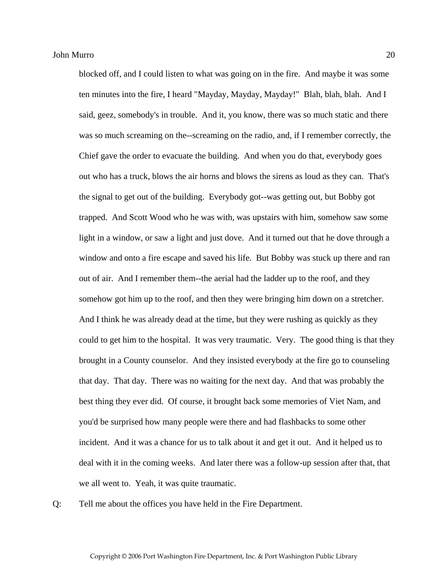blocked off, and I could listen to what was going on in the fire. And maybe it was some ten minutes into the fire, I heard "Mayday, Mayday, Mayday!" Blah, blah, blah. And I said, geez, somebody's in trouble. And it, you know, there was so much static and there was so much screaming on the--screaming on the radio, and, if I remember correctly, the Chief gave the order to evacuate the building. And when you do that, everybody goes out who has a truck, blows the air horns and blows the sirens as loud as they can. That's the signal to get out of the building. Everybody got--was getting out, but Bobby got trapped. And Scott Wood who he was with, was upstairs with him, somehow saw some light in a window, or saw a light and just dove. And it turned out that he dove through a window and onto a fire escape and saved his life. But Bobby was stuck up there and ran out of air. And I remember them--the aerial had the ladder up to the roof, and they somehow got him up to the roof, and then they were bringing him down on a stretcher. And I think he was already dead at the time, but they were rushing as quickly as they could to get him to the hospital. It was very traumatic. Very. The good thing is that they brought in a County counselor. And they insisted everybody at the fire go to counseling that day. That day. There was no waiting for the next day. And that was probably the best thing they ever did. Of course, it brought back some memories of Viet Nam, and you'd be surprised how many people were there and had flashbacks to some other incident. And it was a chance for us to talk about it and get it out. And it helped us to deal with it in the coming weeks. And later there was a follow-up session after that, that we all went to. Yeah, it was quite traumatic.

Q: Tell me about the offices you have held in the Fire Department.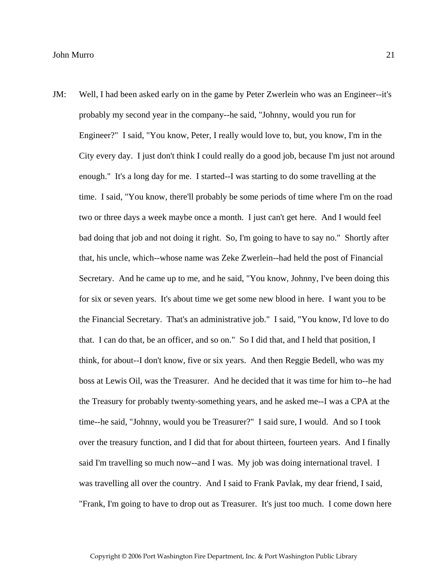JM: Well, I had been asked early on in the game by Peter Zwerlein who was an Engineer--it's probably my second year in the company--he said, "Johnny, would you run for Engineer?" I said, "You know, Peter, I really would love to, but, you know, I'm in the City every day. I just don't think I could really do a good job, because I'm just not around enough." It's a long day for me. I started--I was starting to do some travelling at the time. I said, "You know, there'll probably be some periods of time where I'm on the road two or three days a week maybe once a month. I just can't get here. And I would feel bad doing that job and not doing it right. So, I'm going to have to say no." Shortly after that, his uncle, which--whose name was Zeke Zwerlein--had held the post of Financial Secretary. And he came up to me, and he said, "You know, Johnny, I've been doing this for six or seven years. It's about time we get some new blood in here. I want you to be the Financial Secretary. That's an administrative job." I said, "You know, I'd love to do that. I can do that, be an officer, and so on." So I did that, and I held that position, I think, for about--I don't know, five or six years. And then Reggie Bedell, who was my boss at Lewis Oil, was the Treasurer. And he decided that it was time for him to--he had the Treasury for probably twenty-something years, and he asked me--I was a CPA at the time--he said, "Johnny, would you be Treasurer?" I said sure, I would. And so I took over the treasury function, and I did that for about thirteen, fourteen years. And I finally said I'm travelling so much now--and I was. My job was doing international travel. I was travelling all over the country. And I said to Frank Pavlak, my dear friend, I said, "Frank, I'm going to have to drop out as Treasurer. It's just too much. I come down here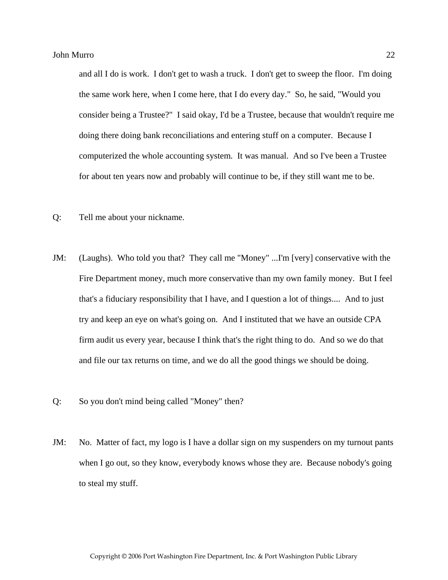and all I do is work. I don't get to wash a truck. I don't get to sweep the floor. I'm doing the same work here, when I come here, that I do every day." So, he said, "Would you consider being a Trustee?" I said okay, I'd be a Trustee, because that wouldn't require me doing there doing bank reconciliations and entering stuff on a computer. Because I computerized the whole accounting system. It was manual. And so I've been a Trustee for about ten years now and probably will continue to be, if they still want me to be.

- Q: Tell me about your nickname.
- JM: (Laughs). Who told you that? They call me "Money" ...I'm [very] conservative with the Fire Department money, much more conservative than my own family money. But I feel that's a fiduciary responsibility that I have, and I question a lot of things.... And to just try and keep an eye on what's going on. And I instituted that we have an outside CPA firm audit us every year, because I think that's the right thing to do. And so we do that and file our tax returns on time, and we do all the good things we should be doing.
- Q: So you don't mind being called "Money" then?
- JM: No. Matter of fact, my logo is I have a dollar sign on my suspenders on my turnout pants when I go out, so they know, everybody knows whose they are. Because nobody's going to steal my stuff.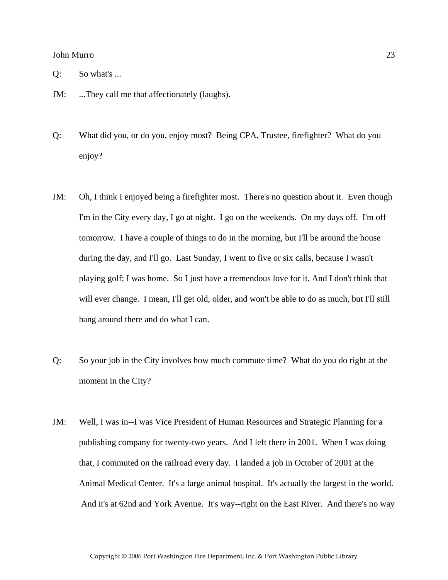- Q: So what's ...
- JM: ...They call me that affectionately (laughs).
- Q: What did you, or do you, enjoy most? Being CPA, Trustee, firefighter? What do you enjoy?
- JM: Oh, I think I enjoyed being a firefighter most. There's no question about it. Even though I'm in the City every day, I go at night. I go on the weekends. On my days off. I'm off tomorrow. I have a couple of things to do in the morning, but I'll be around the house during the day, and I'll go. Last Sunday, I went to five or six calls, because I wasn't playing golf; I was home. So I just have a tremendous love for it. And I don't think that will ever change. I mean, I'll get old, older, and won't be able to do as much, but I'll still hang around there and do what I can.
- Q: So your job in the City involves how much commute time? What do you do right at the moment in the City?
- JM: Well, I was in--I was Vice President of Human Resources and Strategic Planning for a publishing company for twenty-two years. And I left there in 2001. When I was doing that, I commuted on the railroad every day. I landed a job in October of 2001 at the Animal Medical Center. It's a large animal hospital. It's actually the largest in the world. And it's at 62nd and York Avenue. It's way--right on the East River. And there's no way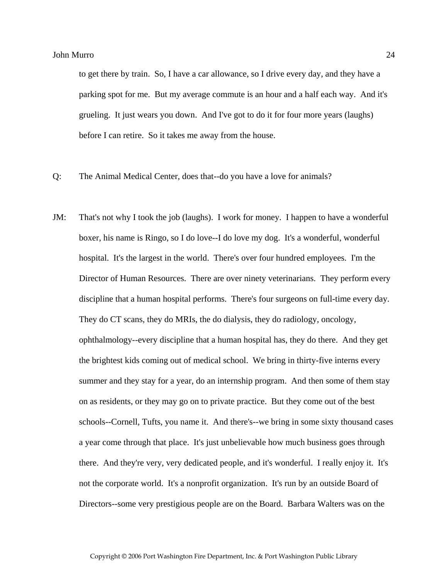to get there by train. So, I have a car allowance, so I drive every day, and they have a parking spot for me. But my average commute is an hour and a half each way. And it's grueling. It just wears you down. And I've got to do it for four more years (laughs) before I can retire. So it takes me away from the house.

- Q: The Animal Medical Center, does that--do you have a love for animals?
- JM: That's not why I took the job (laughs). I work for money. I happen to have a wonderful boxer, his name is Ringo, so I do love--I do love my dog. It's a wonderful, wonderful hospital. It's the largest in the world. There's over four hundred employees. I'm the Director of Human Resources. There are over ninety veterinarians. They perform every discipline that a human hospital performs. There's four surgeons on full-time every day. They do CT scans, they do MRIs, the do dialysis, they do radiology, oncology, ophthalmology--every discipline that a human hospital has, they do there. And they get the brightest kids coming out of medical school. We bring in thirty-five interns every summer and they stay for a year, do an internship program. And then some of them stay on as residents, or they may go on to private practice. But they come out of the best schools--Cornell, Tufts, you name it. And there's--we bring in some sixty thousand cases a year come through that place. It's just unbelievable how much business goes through there. And they're very, very dedicated people, and it's wonderful. I really enjoy it. It's not the corporate world. It's a nonprofit organization. It's run by an outside Board of Directors--some very prestigious people are on the Board. Barbara Walters was on the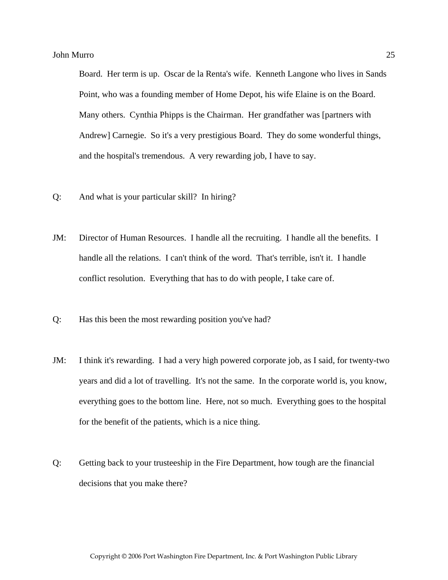Board. Her term is up. Oscar de la Renta's wife. Kenneth Langone who lives in Sands Point, who was a founding member of Home Depot, his wife Elaine is on the Board. Many others. Cynthia Phipps is the Chairman. Her grandfather was [partners with Andrew] Carnegie. So it's a very prestigious Board. They do some wonderful things, and the hospital's tremendous. A very rewarding job, I have to say.

- Q: And what is your particular skill? In hiring?
- JM: Director of Human Resources. I handle all the recruiting. I handle all the benefits. I handle all the relations. I can't think of the word. That's terrible, isn't it. I handle conflict resolution. Everything that has to do with people, I take care of.
- Q: Has this been the most rewarding position you've had?
- JM: I think it's rewarding. I had a very high powered corporate job, as I said, for twenty-two years and did a lot of travelling. It's not the same. In the corporate world is, you know, everything goes to the bottom line. Here, not so much. Everything goes to the hospital for the benefit of the patients, which is a nice thing.
- Q: Getting back to your trusteeship in the Fire Department, how tough are the financial decisions that you make there?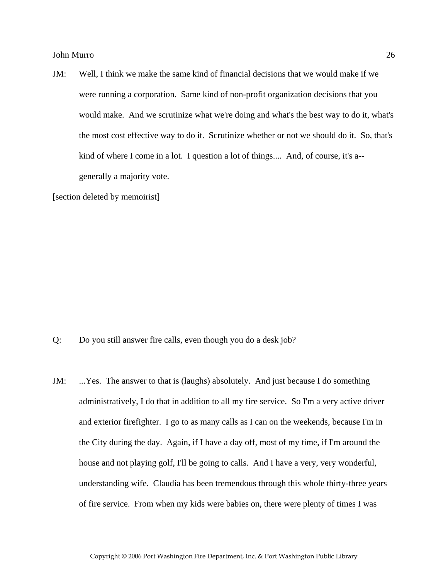JM: Well, I think we make the same kind of financial decisions that we would make if we were running a corporation. Same kind of non-profit organization decisions that you would make. And we scrutinize what we're doing and what's the best way to do it, what's the most cost effective way to do it. Scrutinize whether or not we should do it. So, that's kind of where I come in a lot. I question a lot of things.... And, of course, it's a- generally a majority vote.

[section deleted by memoirist]

- Q: Do you still answer fire calls, even though you do a desk job?
- JM: ...Yes. The answer to that is (laughs) absolutely. And just because I do something administratively, I do that in addition to all my fire service. So I'm a very active driver and exterior firefighter. I go to as many calls as I can on the weekends, because I'm in the City during the day. Again, if I have a day off, most of my time, if I'm around the house and not playing golf, I'll be going to calls. And I have a very, very wonderful, understanding wife. Claudia has been tremendous through this whole thirty-three years of fire service. From when my kids were babies on, there were plenty of times I was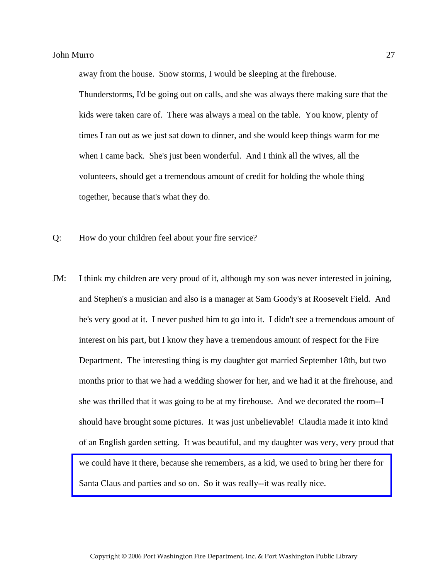away from the house. Snow storms, I would be sleeping at the firehouse.

Thunderstorms, I'd be going out on calls, and she was always there making sure that the kids were taken care of. There was always a meal on the table. You know, plenty of times I ran out as we just sat down to dinner, and she would keep things warm for me when I came back. She's just been wonderful. And I think all the wives, all the volunteers, should get a tremendous amount of credit for holding the whole thing together, because that's what they do.

- Q: How do your children feel about your fire service?
- JM: I think my children are very proud of it, although my son was never interested in joining, and Stephen's a musician and also is a manager at Sam Goody's at Roosevelt Field. And he's very good at it. I never pushed him to go into it. I didn't see a tremendous amount of interest on his part, but I know they have a tremendous amount of respect for the Fire Department. The interesting thing is my daughter got married September 18th, but two months prior to that we had a wedding shower for her, and we had it at the firehouse, and she was thrilled that it was going to be at my firehouse. And we decorated the room--I should have brought some pictures. It was just unbelievable! Claudia made it into kind of an English garden setting. It was beautiful, and my daughter was very, very proud that [we could have it there, because she remembers, as a kid, we used to bring her there for](http://www.pwfdhistory.com/trans/murroj_trans/peco_members039_web.jpg)  Santa Claus and parties and so on. So it was really--it was really nice.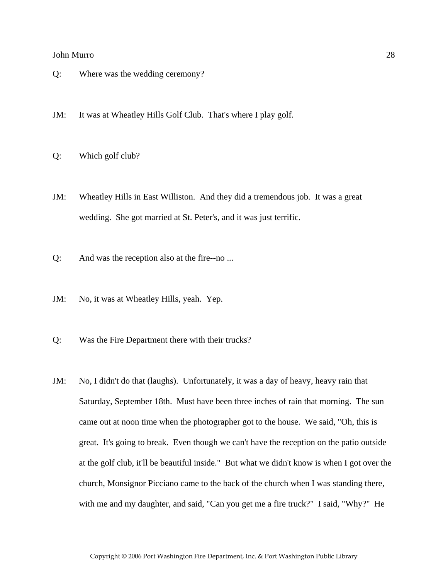- Q: Where was the wedding ceremony?
- JM: It was at Wheatley Hills Golf Club. That's where I play golf.
- Q: Which golf club?
- JM: Wheatley Hills in East Williston. And they did a tremendous job. It was a great wedding. She got married at St. Peter's, and it was just terrific.
- Q: And was the reception also at the fire--no ...
- JM: No, it was at Wheatley Hills, yeah. Yep.
- Q: Was the Fire Department there with their trucks?
- JM: No, I didn't do that (laughs). Unfortunately, it was a day of heavy, heavy rain that Saturday, September 18th. Must have been three inches of rain that morning. The sun came out at noon time when the photographer got to the house. We said, "Oh, this is great. It's going to break. Even though we can't have the reception on the patio outside at the golf club, it'll be beautiful inside." But what we didn't know is when I got over the church, Monsignor Picciano came to the back of the church when I was standing there, with me and my daughter, and said, "Can you get me a fire truck?" I said, "Why?" He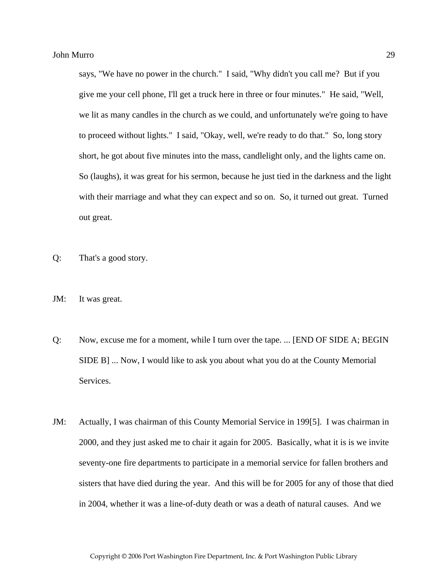says, "We have no power in the church." I said, "Why didn't you call me? But if you give me your cell phone, I'll get a truck here in three or four minutes." He said, "Well, we lit as many candles in the church as we could, and unfortunately we're going to have to proceed without lights." I said, "Okay, well, we're ready to do that." So, long story short, he got about five minutes into the mass, candlelight only, and the lights came on. So (laughs), it was great for his sermon, because he just tied in the darkness and the light with their marriage and what they can expect and so on. So, it turned out great. Turned out great.

- Q: That's a good story.
- JM: It was great.
- Q: Now, excuse me for a moment, while I turn over the tape. ... [END OF SIDE A; BEGIN SIDE B] ... Now, I would like to ask you about what you do at the County Memorial Services.
- JM: Actually, I was chairman of this County Memorial Service in 199[5]. I was chairman in 2000, and they just asked me to chair it again for 2005. Basically, what it is is we invite seventy-one fire departments to participate in a memorial service for fallen brothers and sisters that have died during the year. And this will be for 2005 for any of those that died in 2004, whether it was a line-of-duty death or was a death of natural causes. And we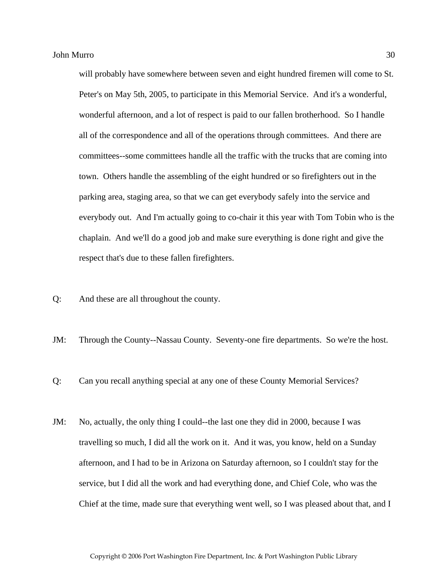will probably have somewhere between seven and eight hundred firemen will come to St. Peter's on May 5th, 2005, to participate in this Memorial Service. And it's a wonderful, wonderful afternoon, and a lot of respect is paid to our fallen brotherhood. So I handle all of the correspondence and all of the operations through committees. And there are committees--some committees handle all the traffic with the trucks that are coming into town. Others handle the assembling of the eight hundred or so firefighters out in the parking area, staging area, so that we can get everybody safely into the service and everybody out. And I'm actually going to co-chair it this year with Tom Tobin who is the chaplain. And we'll do a good job and make sure everything is done right and give the respect that's due to these fallen firefighters.

Q: And these are all throughout the county.

JM: Through the County--Nassau County. Seventy-one fire departments. So we're the host.

Q: Can you recall anything special at any one of these County Memorial Services?

JM: No, actually, the only thing I could--the last one they did in 2000, because I was travelling so much, I did all the work on it. And it was, you know, held on a Sunday afternoon, and I had to be in Arizona on Saturday afternoon, so I couldn't stay for the service, but I did all the work and had everything done, and Chief Cole, who was the Chief at the time, made sure that everything went well, so I was pleased about that, and I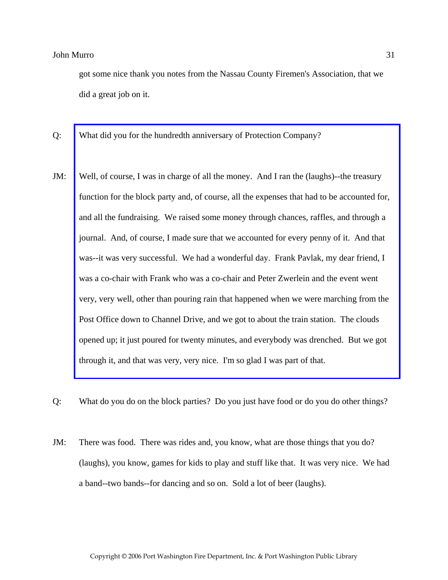got some nice thank you notes from the Nassau County Firemen's Association, that we did a great job on it.

- Q: What did you for the hundredth anniversary of Protection Company?
- JM: Well, of course, I was in charge of all the money. And I ran the (laughs)--the treasury [function for the block party and, of course, all the expenses that had to be accounted for,](http://www.pwfdhistory.com/trans/murroj_trans/psent_920710_hw_web.pdf)  and all the fundraising. We raised some money through chances, raffles, and through a journal. And, of course, I made sure that we accounted for every penny of it. And that was--it was very successful. We had a wonderful day. Frank Pavlak, my dear friend, I was a co-chair with Frank who was a co-chair and Peter Zwerlein and the event went very, very well, other than pouring rain that happened when we were marching from the Post Office down to Channel Drive, and we got to about the train station. The clouds opened up; it just poured for twenty minutes, and everybody was drenched. But we got through it, and that was very, very nice. I'm so glad I was part of that.
- Q: What do you do on the block parties? Do you just have food or do you do other things?
- JM: There was food. There was rides and, you know, what are those things that you do? (laughs), you know, games for kids to play and stuff like that. It was very nice. We had a band--two bands--for dancing and so on. Sold a lot of beer (laughs).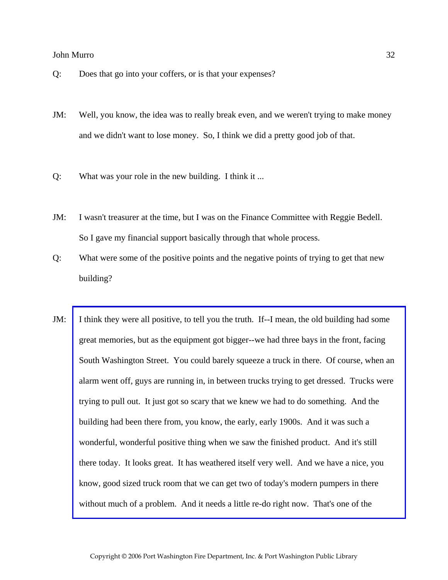- Q: Does that go into your coffers, or is that your expenses?
- JM: Well, you know, the idea was to really break even, and we weren't trying to make money and we didn't want to lose money. So, I think we did a pretty good job of that.
- Q: What was your role in the new building. I think it ...
- JM: I wasn't treasurer at the time, but I was on the Finance Committee with Reggie Bedell. So I gave my financial support basically through that whole process.
- Q: What were some of the positive points and the negative points of trying to get that new building?
- JM: [I think they were all positive, to tell you the truth. If--I mean, the old building had some](http://www.pwfdhistory.com/trans/murroj_trans/peco_bldg12_web.jpg)  great memories, but as the equipment got bigger--we had three bays in the front, facing South Washington Street. You could barely squeeze a truck in there. Of course, when an alarm went off, guys are running in, in between trucks trying to get dressed. Trucks were trying to pull out. It just got so scary that we knew we had to do something. And the building had been there from, you know, the early, early 1900s. And it was such a wonderful, wonderful positive thing when we saw the finished product. And it's still there today. It looks great. It has weathered itself very well. And we have a nice, you know, good sized truck room that we can get two of today's modern pumpers in there without much of a problem. And it needs a little re-do right now. That's one of the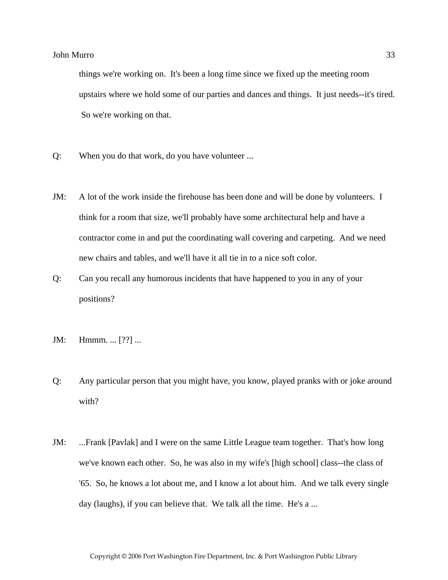things we're working on. It's been a long time since we fixed up the meeting room upstairs where we hold some of our parties and dances and things. It just needs--it's tired. So we're working on that.

- Q: When you do that work, do you have volunteer ...
- JM: A lot of the work inside the firehouse has been done and will be done by volunteers. I think for a room that size, we'll probably have some architectural help and have a contractor come in and put the coordinating wall covering and carpeting. And we need new chairs and tables, and we'll have it all tie in to a nice soft color.
- Q: Can you recall any humorous incidents that have happened to you in any of your positions?
- JM: Hmmm. ... [??] ...
- Q: Any particular person that you might have, you know, played pranks with or joke around with?
- JM: ...Frank [Pavlak] and I were on the same Little League team together. That's how long we've known each other. So, he was also in my wife's [high school] class--the class of '65. So, he knows a lot about me, and I know a lot about him. And we talk every single day (laughs), if you can believe that. We talk all the time. He's a ...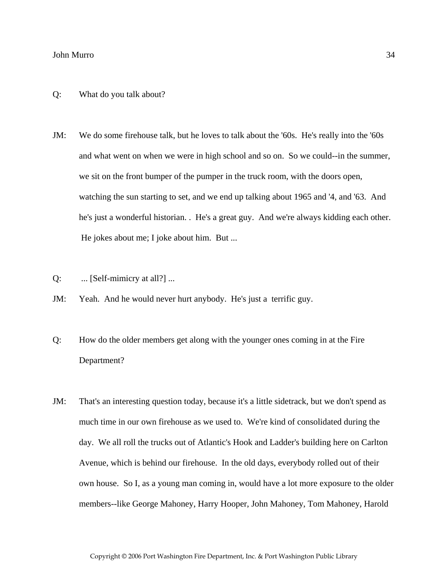#### Q: What do you talk about?

- JM: We do some firehouse talk, but he loves to talk about the '60s. He's really into the '60s and what went on when we were in high school and so on. So we could--in the summer, we sit on the front bumper of the pumper in the truck room, with the doors open, watching the sun starting to set, and we end up talking about 1965 and '4, and '63. And he's just a wonderful historian. . He's a great guy. And we're always kidding each other. He jokes about me; I joke about him. But ...
- Q: ... [Self-mimicry at all?] ...
- JM: Yeah. And he would never hurt anybody. He's just a terrific guy.
- Q: How do the older members get along with the younger ones coming in at the Fire Department?
- JM: That's an interesting question today, because it's a little sidetrack, but we don't spend as much time in our own firehouse as we used to. We're kind of consolidated during the day. We all roll the trucks out of Atlantic's Hook and Ladder's building here on Carlton Avenue, which is behind our firehouse. In the old days, everybody rolled out of their own house. So I, as a young man coming in, would have a lot more exposure to the older members--like George Mahoney, Harry Hooper, John Mahoney, Tom Mahoney, Harold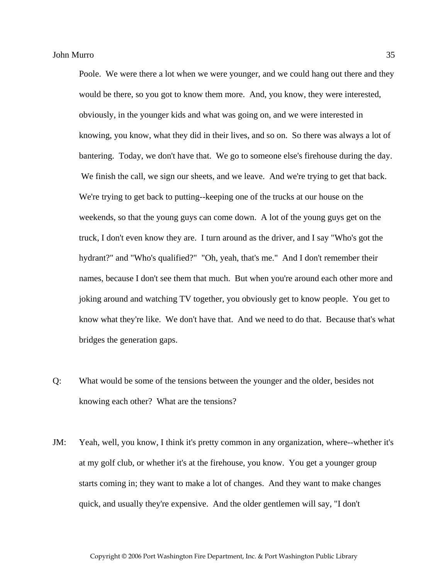Poole. We were there a lot when we were younger, and we could hang out there and they would be there, so you got to know them more. And, you know, they were interested, obviously, in the younger kids and what was going on, and we were interested in knowing, you know, what they did in their lives, and so on. So there was always a lot of bantering. Today, we don't have that. We go to someone else's firehouse during the day. We finish the call, we sign our sheets, and we leave. And we're trying to get that back. We're trying to get back to putting--keeping one of the trucks at our house on the weekends, so that the young guys can come down. A lot of the young guys get on the truck, I don't even know they are. I turn around as the driver, and I say "Who's got the hydrant?" and "Who's qualified?" "Oh, yeah, that's me." And I don't remember their names, because I don't see them that much. But when you're around each other more and joking around and watching TV together, you obviously get to know people. You get to know what they're like. We don't have that. And we need to do that. Because that's what bridges the generation gaps.

- Q: What would be some of the tensions between the younger and the older, besides not knowing each other? What are the tensions?
- JM: Yeah, well, you know, I think it's pretty common in any organization, where--whether it's at my golf club, or whether it's at the firehouse, you know. You get a younger group starts coming in; they want to make a lot of changes. And they want to make changes quick, and usually they're expensive. And the older gentlemen will say, "I don't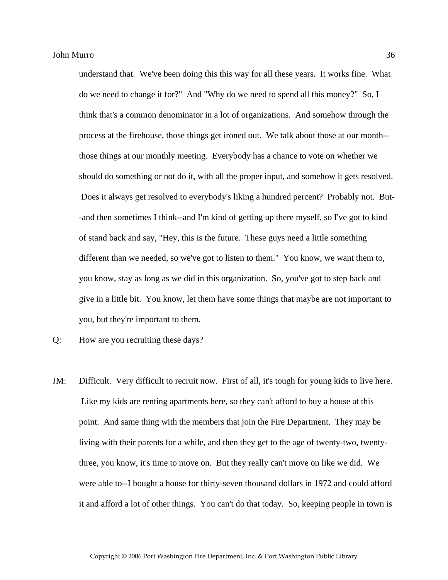understand that. We've been doing this this way for all these years. It works fine. What do we need to change it for?" And "Why do we need to spend all this money?" So, I think that's a common denominator in a lot of organizations. And somehow through the process at the firehouse, those things get ironed out. We talk about those at our month- those things at our monthly meeting. Everybody has a chance to vote on whether we should do something or not do it, with all the proper input, and somehow it gets resolved. Does it always get resolved to everybody's liking a hundred percent? Probably not. But- -and then sometimes I think--and I'm kind of getting up there myself, so I've got to kind of stand back and say, "Hey, this is the future. These guys need a little something different than we needed, so we've got to listen to them." You know, we want them to, you know, stay as long as we did in this organization. So, you've got to step back and give in a little bit. You know, let them have some things that maybe are not important to you, but they're important to them.

JM: Difficult. Very difficult to recruit now. First of all, it's tough for young kids to live here. Like my kids are renting apartments here, so they can't afford to buy a house at this point. And same thing with the members that join the Fire Department. They may be living with their parents for a while, and then they get to the age of twenty-two, twentythree, you know, it's time to move on. But they really can't move on like we did. We were able to--I bought a house for thirty-seven thousand dollars in 1972 and could afford it and afford a lot of other things. You can't do that today. So, keeping people in town is

Q: How are you recruiting these days?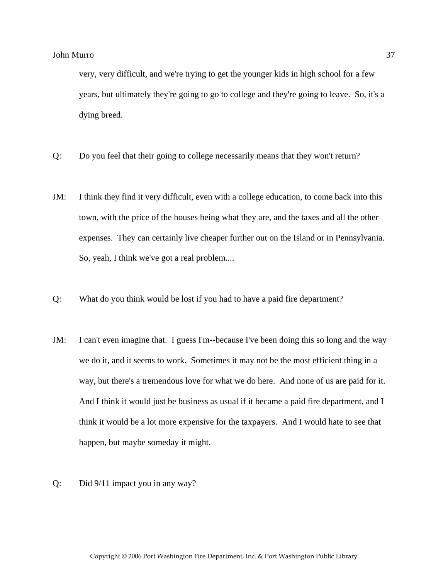very, very difficult, and we're trying to get the younger kids in high school for a few years, but ultimately they're going to go to college and they're going to leave. So, it's a dying breed.

- Q: Do you feel that their going to college necessarily means that they won't return?
- JM: I think they find it very difficult, even with a college education, to come back into this town, with the price of the houses being what they are, and the taxes and all the other expenses. They can certainly live cheaper further out on the Island or in Pennsylvania. So, yeah, I think we've got a real problem....
- Q: What do you think would be lost if you had to have a paid fire department?
- JM: I can't even imagine that. I guess I'm--because I've been doing this so long and the way we do it, and it seems to work. Sometimes it may not be the most efficient thing in a way, but there's a tremendous love for what we do here. And none of us are paid for it. And I think it would just be business as usual if it became a paid fire department, and I think it would be a lot more expensive for the taxpayers. And I would hate to see that happen, but maybe someday it might.
- Q: Did 9/11 impact you in any way?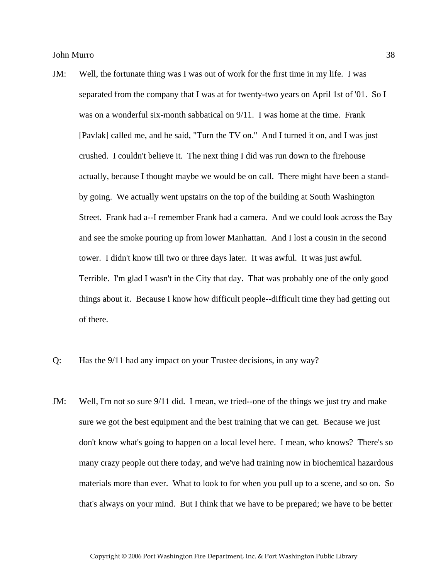- JM: Well, the fortunate thing was I was out of work for the first time in my life. I was separated from the company that I was at for twenty-two years on April 1st of '01. So I was on a wonderful six-month sabbatical on 9/11. I was home at the time. Frank [Pavlak] called me, and he said, "Turn the TV on." And I turned it on, and I was just crushed. I couldn't believe it. The next thing I did was run down to the firehouse actually, because I thought maybe we would be on call. There might have been a standby going. We actually went upstairs on the top of the building at South Washington Street. Frank had a--I remember Frank had a camera. And we could look across the Bay and see the smoke pouring up from lower Manhattan. And I lost a cousin in the second tower. I didn't know till two or three days later. It was awful. It was just awful. Terrible. I'm glad I wasn't in the City that day. That was probably one of the only good things about it. Because I know how difficult people--difficult time they had getting out of there.
- Q: Has the 9/11 had any impact on your Trustee decisions, in any way?
- JM: Well, I'm not so sure 9/11 did. I mean, we tried--one of the things we just try and make sure we got the best equipment and the best training that we can get. Because we just don't know what's going to happen on a local level here. I mean, who knows? There's so many crazy people out there today, and we've had training now in biochemical hazardous materials more than ever. What to look to for when you pull up to a scene, and so on. So that's always on your mind. But I think that we have to be prepared; we have to be better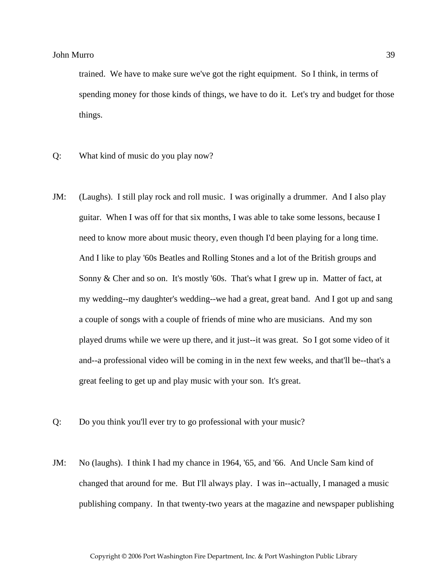trained. We have to make sure we've got the right equipment. So I think, in terms of spending money for those kinds of things, we have to do it. Let's try and budget for those things.

- Q: What kind of music do you play now?
- JM: (Laughs). I still play rock and roll music. I was originally a drummer. And I also play guitar. When I was off for that six months, I was able to take some lessons, because I need to know more about music theory, even though I'd been playing for a long time. And I like to play '60s Beatles and Rolling Stones and a lot of the British groups and Sonny & Cher and so on. It's mostly '60s. That's what I grew up in. Matter of fact, at my wedding--my daughter's wedding--we had a great, great band. And I got up and sang a couple of songs with a couple of friends of mine who are musicians. And my son played drums while we were up there, and it just--it was great. So I got some video of it and--a professional video will be coming in in the next few weeks, and that'll be--that's a great feeling to get up and play music with your son. It's great.
- Q: Do you think you'll ever try to go professional with your music?
- JM: No (laughs). I think I had my chance in 1964, '65, and '66. And Uncle Sam kind of changed that around for me. But I'll always play. I was in--actually, I managed a music publishing company. In that twenty-two years at the magazine and newspaper publishing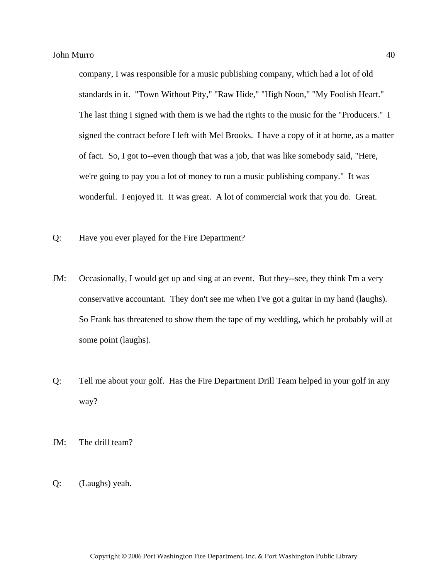company, I was responsible for a music publishing company, which had a lot of old standards in it. "Town Without Pity," "Raw Hide," "High Noon," "My Foolish Heart." The last thing I signed with them is we had the rights to the music for the "Producers." I signed the contract before I left with Mel Brooks. I have a copy of it at home, as a matter of fact. So, I got to--even though that was a job, that was like somebody said, "Here, we're going to pay you a lot of money to run a music publishing company." It was wonderful. I enjoyed it. It was great. A lot of commercial work that you do. Great.

- Q: Have you ever played for the Fire Department?
- JM: Occasionally, I would get up and sing at an event. But they--see, they think I'm a very conservative accountant. They don't see me when I've got a guitar in my hand (laughs). So Frank has threatened to show them the tape of my wedding, which he probably will at some point (laughs).
- Q: Tell me about your golf. Has the Fire Department Drill Team helped in your golf in any way?
- JM: The drill team?
- Q: (Laughs) yeah.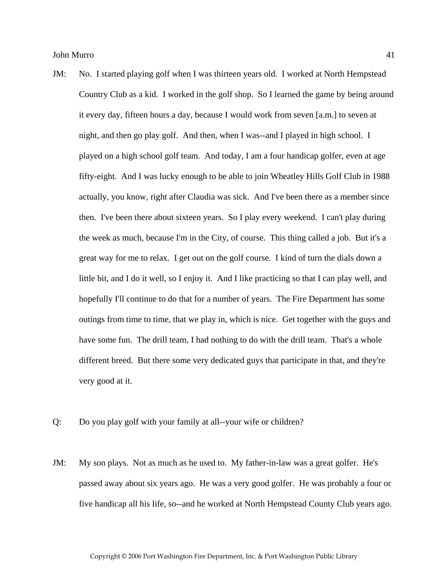- JM: No. I started playing golf when I was thirteen years old. I worked at North Hempstead Country Club as a kid. I worked in the golf shop. So I learned the game by being around it every day, fifteen hours a day, because I would work from seven [a.m.] to seven at night, and then go play golf. And then, when I was--and I played in high school. I played on a high school golf team. And today, I am a four handicap golfer, even at age fifty-eight. And I was lucky enough to be able to join Wheatley Hills Golf Club in 1988 actually, you know, right after Claudia was sick. And I've been there as a member since then. I've been there about sixteen years. So I play every weekend. I can't play during the week as much, because I'm in the City, of course. This thing called a job. But it's a great way for me to relax. I get out on the golf course. I kind of turn the dials down a little bit, and I do it well, so I enjoy it. And I like practicing so that I can play well, and hopefully I'll continue to do that for a number of years. The Fire Department has some outings from time to time, that we play in, which is nice. Get together with the guys and have some fun. The drill team, I had nothing to do with the drill team. That's a whole different breed. But there some very dedicated guys that participate in that, and they're very good at it.
- Q: Do you play golf with your family at all--your wife or children?
- JM: My son plays. Not as much as he used to. My father-in-law was a great golfer. He's passed away about six years ago. He was a very good golfer. He was probably a four or five handicap all his life, so--and he worked at North Hempstead County Club years ago.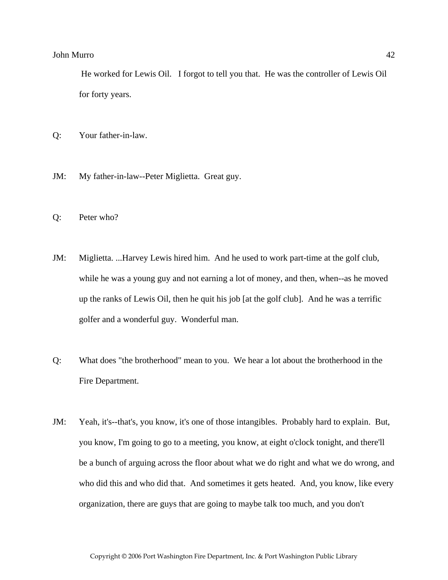He worked for Lewis Oil. I forgot to tell you that. He was the controller of Lewis Oil for forty years.

- Q: Your father-in-law.
- JM: My father-in-law--Peter Miglietta. Great guy.
- Q: Peter who?
- JM: Miglietta. ...Harvey Lewis hired him. And he used to work part-time at the golf club, while he was a young guy and not earning a lot of money, and then, when--as he moved up the ranks of Lewis Oil, then he quit his job [at the golf club]. And he was a terrific golfer and a wonderful guy. Wonderful man.
- Q: What does "the brotherhood" mean to you. We hear a lot about the brotherhood in the Fire Department.
- JM: Yeah, it's--that's, you know, it's one of those intangibles. Probably hard to explain. But, you know, I'm going to go to a meeting, you know, at eight o'clock tonight, and there'll be a bunch of arguing across the floor about what we do right and what we do wrong, and who did this and who did that. And sometimes it gets heated. And, you know, like every organization, there are guys that are going to maybe talk too much, and you don't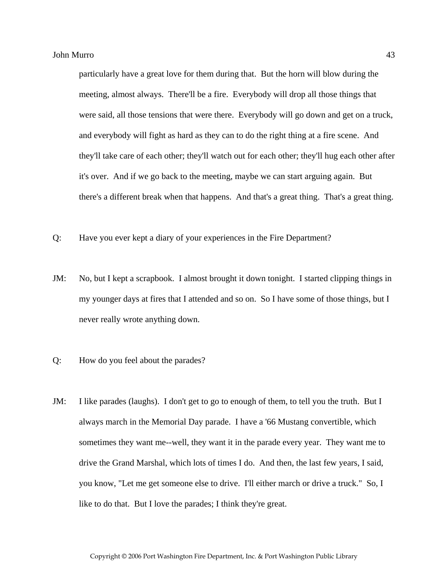particularly have a great love for them during that. But the horn will blow during the meeting, almost always. There'll be a fire. Everybody will drop all those things that were said, all those tensions that were there. Everybody will go down and get on a truck, and everybody will fight as hard as they can to do the right thing at a fire scene. And they'll take care of each other; they'll watch out for each other; they'll hug each other after it's over. And if we go back to the meeting, maybe we can start arguing again. But there's a different break when that happens. And that's a great thing. That's a great thing.

- Q: Have you ever kept a diary of your experiences in the Fire Department?
- JM: No, but I kept a scrapbook. I almost brought it down tonight. I started clipping things in my younger days at fires that I attended and so on. So I have some of those things, but I never really wrote anything down.
- Q: How do you feel about the parades?
- JM: I like parades (laughs). I don't get to go to enough of them, to tell you the truth. But I always march in the Memorial Day parade. I have a '66 Mustang convertible, which sometimes they want me--well, they want it in the parade every year. They want me to drive the Grand Marshal, which lots of times I do. And then, the last few years, I said, you know, "Let me get someone else to drive. I'll either march or drive a truck." So, I like to do that. But I love the parades; I think they're great.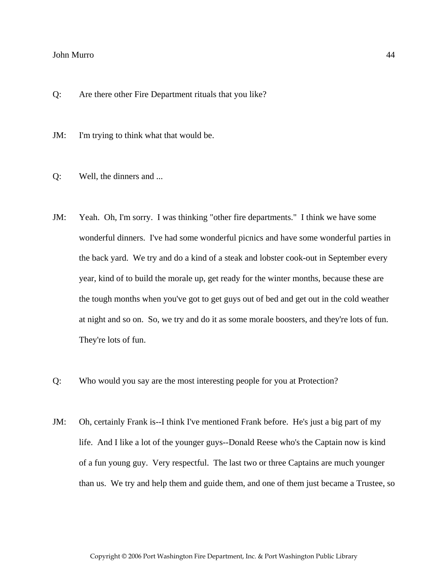Q: Are there other Fire Department rituals that you like?

JM: I'm trying to think what that would be.

- Q: Well, the dinners and ...
- JM: Yeah. Oh, I'm sorry. I was thinking "other fire departments." I think we have some wonderful dinners. I've had some wonderful picnics and have some wonderful parties in the back yard. We try and do a kind of a steak and lobster cook-out in September every year, kind of to build the morale up, get ready for the winter months, because these are the tough months when you've got to get guys out of bed and get out in the cold weather at night and so on. So, we try and do it as some morale boosters, and they're lots of fun. They're lots of fun.
- Q: Who would you say are the most interesting people for you at Protection?
- JM: Oh, certainly Frank is--I think I've mentioned Frank before. He's just a big part of my life. And I like a lot of the younger guys--Donald Reese who's the Captain now is kind of a fun young guy. Very respectful. The last two or three Captains are much younger than us. We try and help them and guide them, and one of them just became a Trustee, so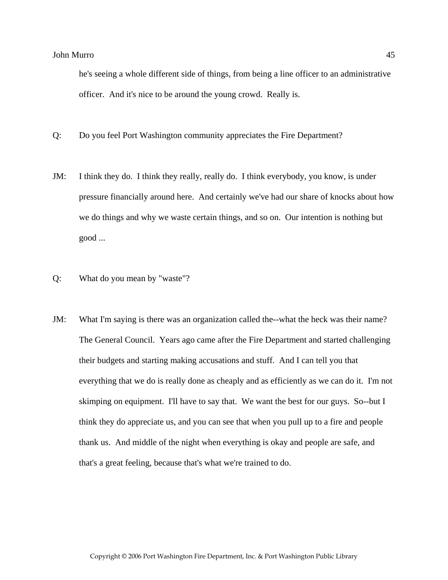he's seeing a whole different side of things, from being a line officer to an administrative officer. And it's nice to be around the young crowd. Really is.

- Q: Do you feel Port Washington community appreciates the Fire Department?
- JM: I think they do. I think they really, really do. I think everybody, you know, is under pressure financially around here. And certainly we've had our share of knocks about how we do things and why we waste certain things, and so on. Our intention is nothing but good ...
- Q: What do you mean by "waste"?
- JM: What I'm saying is there was an organization called the--what the heck was their name? The General Council. Years ago came after the Fire Department and started challenging their budgets and starting making accusations and stuff. And I can tell you that everything that we do is really done as cheaply and as efficiently as we can do it. I'm not skimping on equipment. I'll have to say that. We want the best for our guys. So--but I think they do appreciate us, and you can see that when you pull up to a fire and people thank us. And middle of the night when everything is okay and people are safe, and that's a great feeling, because that's what we're trained to do.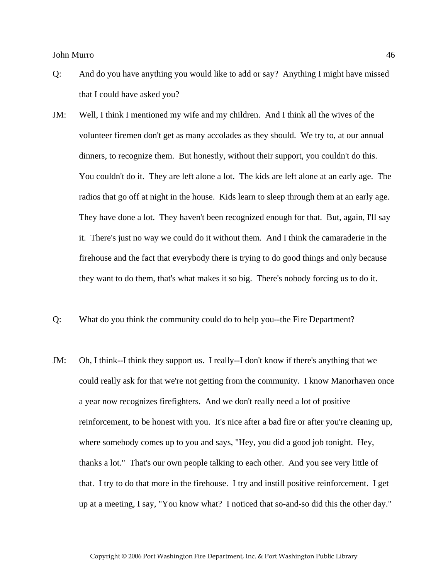- Q: And do you have anything you would like to add or say? Anything I might have missed that I could have asked you?
- JM: Well, I think I mentioned my wife and my children. And I think all the wives of the volunteer firemen don't get as many accolades as they should. We try to, at our annual dinners, to recognize them. But honestly, without their support, you couldn't do this. You couldn't do it. They are left alone a lot. The kids are left alone at an early age. The radios that go off at night in the house. Kids learn to sleep through them at an early age. They have done a lot. They haven't been recognized enough for that. But, again, I'll say it. There's just no way we could do it without them. And I think the camaraderie in the firehouse and the fact that everybody there is trying to do good things and only because they want to do them, that's what makes it so big. There's nobody forcing us to do it.
- Q: What do you think the community could do to help you--the Fire Department?
- JM: Oh, I think--I think they support us. I really--I don't know if there's anything that we could really ask for that we're not getting from the community. I know Manorhaven once a year now recognizes firefighters. And we don't really need a lot of positive reinforcement, to be honest with you. It's nice after a bad fire or after you're cleaning up, where somebody comes up to you and says, "Hey, you did a good job tonight. Hey, thanks a lot." That's our own people talking to each other. And you see very little of that. I try to do that more in the firehouse. I try and instill positive reinforcement. I get up at a meeting, I say, "You know what? I noticed that so-and-so did this the other day."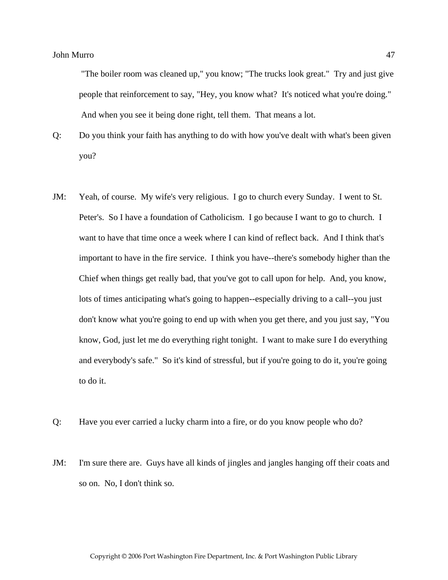"The boiler room was cleaned up," you know; "The trucks look great." Try and just give people that reinforcement to say, "Hey, you know what? It's noticed what you're doing." And when you see it being done right, tell them. That means a lot.

Q: Do you think your faith has anything to do with how you've dealt with what's been given you?

- JM: Yeah, of course. My wife's very religious. I go to church every Sunday. I went to St. Peter's. So I have a foundation of Catholicism. I go because I want to go to church. I want to have that time once a week where I can kind of reflect back. And I think that's important to have in the fire service. I think you have--there's somebody higher than the Chief when things get really bad, that you've got to call upon for help. And, you know, lots of times anticipating what's going to happen--especially driving to a call--you just don't know what you're going to end up with when you get there, and you just say, "You know, God, just let me do everything right tonight. I want to make sure I do everything and everybody's safe." So it's kind of stressful, but if you're going to do it, you're going to do it.
- Q: Have you ever carried a lucky charm into a fire, or do you know people who do?
- JM: I'm sure there are. Guys have all kinds of jingles and jangles hanging off their coats and so on. No, I don't think so.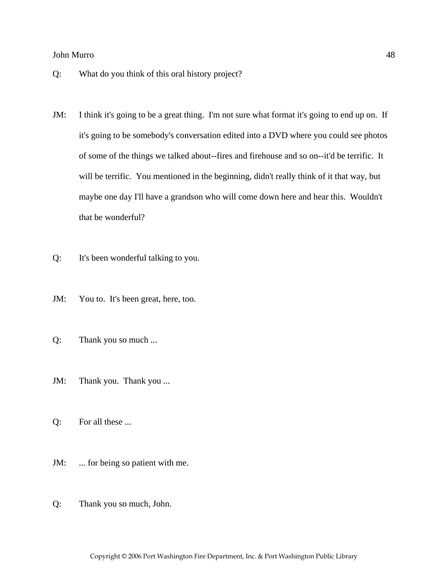- Q: What do you think of this oral history project?
- JM: I think it's going to be a great thing. I'm not sure what format it's going to end up on. If it's going to be somebody's conversation edited into a DVD where you could see photos of some of the things we talked about--fires and firehouse and so on--it'd be terrific. It will be terrific. You mentioned in the beginning, didn't really think of it that way, but maybe one day I'll have a grandson who will come down here and hear this. Wouldn't that be wonderful?
- Q: It's been wonderful talking to you.
- JM: You to. It's been great, here, too.
- Q: Thank you so much ...
- JM: Thank you. Thank you ...
- Q: For all these ...
- JM: ... for being so patient with me.
- Q: Thank you so much, John.